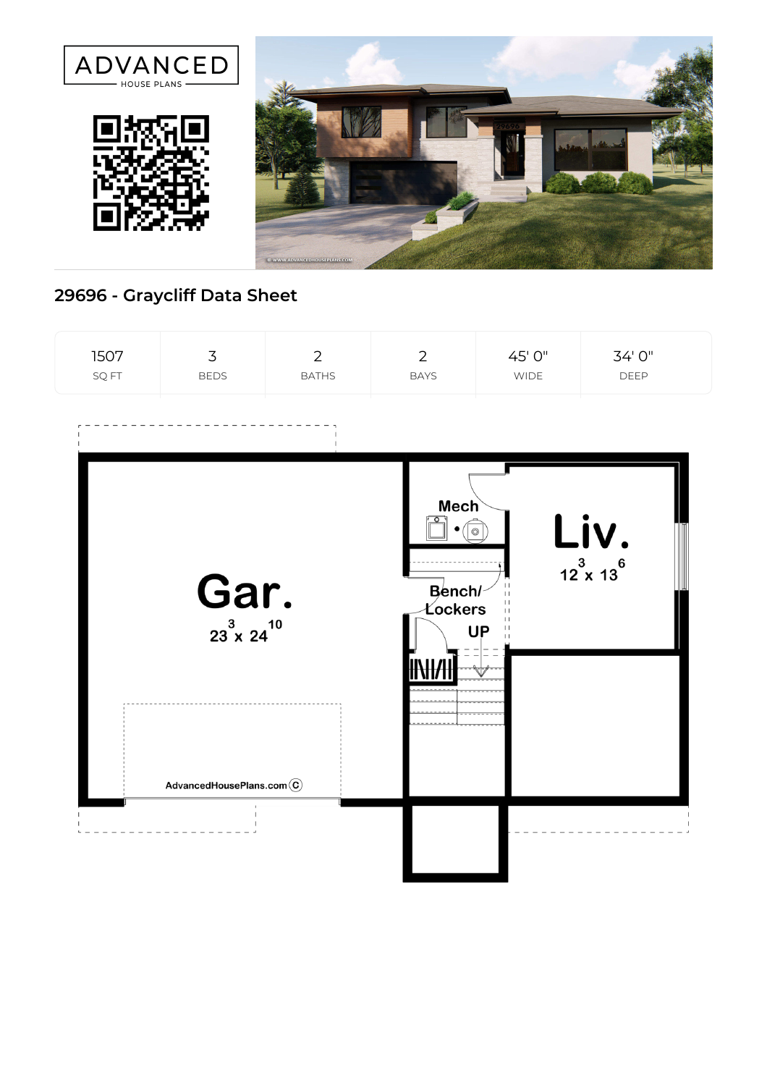





## **29696 - Graycliff Data Sheet**

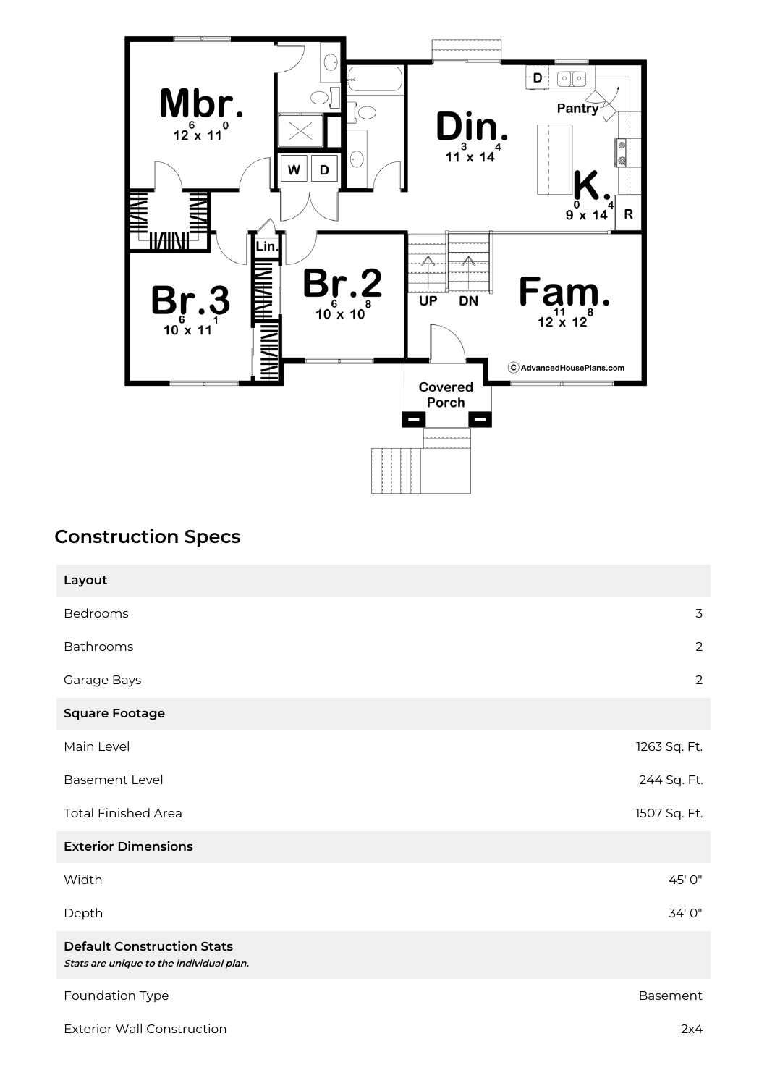

## **Construction Specs**

| Layout                                                                        |                |
|-------------------------------------------------------------------------------|----------------|
| Bedrooms                                                                      | $\overline{3}$ |
| Bathrooms                                                                     | $\overline{2}$ |
| Garage Bays                                                                   | $\overline{2}$ |
| <b>Square Footage</b>                                                         |                |
| Main Level                                                                    | 1263 Sq. Ft.   |
| <b>Basement Level</b>                                                         | 244 Sq. Ft.    |
| <b>Total Finished Area</b>                                                    | 1507 Sq. Ft.   |
| <b>Exterior Dimensions</b>                                                    |                |
| Width                                                                         | 45' 0"         |
| Depth                                                                         | 34' 0"         |
| <b>Default Construction Stats</b><br>Stats are unique to the individual plan. |                |
| Foundation Type                                                               | Basement       |
| <b>Exterior Wall Construction</b>                                             | 2x4            |